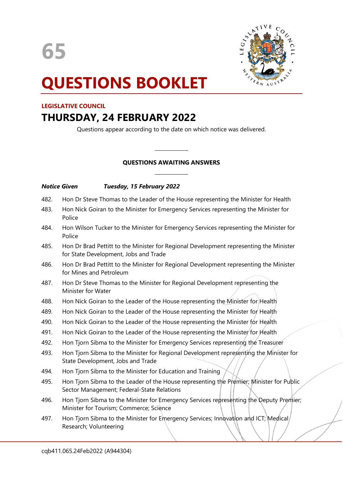

# **QUESTIONS BOOKLET**

### **LEGISLATIVE COUNCIL**

## **THURSDAY, 24 FEBRUARY 2022**

Questions appear according to the date on which notice was delivered.

## **QUESTIONS AWAITING ANSWERS**

 $\overline{\phantom{a}}$ 

 $\overline{\phantom{a}}$ 

#### *Notice Given Tuesday, 15 February 2022*

- 482. Hon Dr Steve Thomas to the Leader of the House representing the Minister for Health
- 483. Hon Nick Goiran to the Minister for Emergency Services representing the Minister for Police
- 484. Hon Wilson Tucker to the Minister for Emergency Services representing the Minister for Police
- 485. Hon Dr Brad Pettitt to the Minister for Regional Development representing the Minister for State Development, Jobs and Trade
- 486. Hon Dr Brad Pettitt to the Minister for Regional Development representing the Minister for Mines and Petroleum
- 487. Hon Dr Steve Thomas to the Minister for Regional Development representing the Minister for Water
- 488. Hon Nick Goiran to the Leader of the House representing the Minister for Health
- 489. Hon Nick Goiran to the Leader of the House representing the Minister for Health
- 490. Hon Nick Goiran to the Leader of the House representing the Minister for Health
- 491. Hon Nick Goiran to the Leader of the House representing the Minister for Health
- 492. Hon Tjorn Sibma to the Minister for Emergency Services representing the Treasurer
- 493. Hon Tjorn Sibma to the Minister for Regional Development representing the Minister for State Development, Jobs and Trade
- 494. Hon Tjorn Sibma to the Minister for Education and Training
- 495. Hon Tjorn Sibma to the Leader of the House representing the Premier; Minister for Public Sector Management; Federal-State Relations
- 496. Hon Tjorn Sibma to the Minister for Emergency Services representing the Deputy Premier; Minister for Tourism; Commerce; Science
- 497. Hon Tjorn Sibma to the Minister for Emergency Services; Innovation and ICT; Medical Research; Volunteering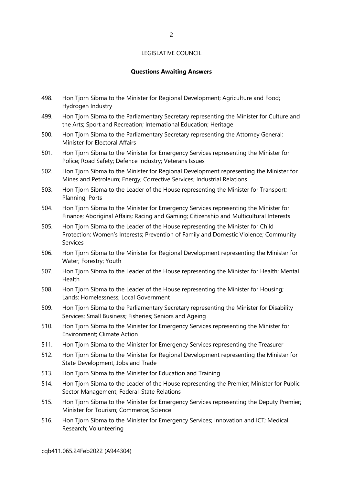#### **Questions Awaiting Answers**

- 498. Hon Tjorn Sibma to the Minister for Regional Development; Agriculture and Food; Hydrogen Industry
- 499. Hon Tjorn Sibma to the Parliamentary Secretary representing the Minister for Culture and the Arts; Sport and Recreation; International Education; Heritage
- 500. Hon Tjorn Sibma to the Parliamentary Secretary representing the Attorney General; Minister for Electoral Affairs
- 501. Hon Tjorn Sibma to the Minister for Emergency Services representing the Minister for Police; Road Safety; Defence Industry; Veterans Issues
- 502. Hon Tjorn Sibma to the Minister for Regional Development representing the Minister for Mines and Petroleum; Energy; Corrective Services; Industrial Relations
- 503. Hon Tjorn Sibma to the Leader of the House representing the Minister for Transport; Planning; Ports
- 504. Hon Tjorn Sibma to the Minister for Emergency Services representing the Minister for Finance; Aboriginal Affairs; Racing and Gaming; Citizenship and Multicultural Interests
- 505. Hon Tjorn Sibma to the Leader of the House representing the Minister for Child Protection; Women's Interests; Prevention of Family and Domestic Violence; Community Services
- 506. Hon Tjorn Sibma to the Minister for Regional Development representing the Minister for Water; Forestry; Youth
- 507. Hon Tjorn Sibma to the Leader of the House representing the Minister for Health; Mental Health
- 508. Hon Tjorn Sibma to the Leader of the House representing the Minister for Housing; Lands; Homelessness; Local Government
- 509. Hon Tjorn Sibma to the Parliamentary Secretary representing the Minister for Disability Services; Small Business; Fisheries; Seniors and Ageing
- 510. Hon Tjorn Sibma to the Minister for Emergency Services representing the Minister for Environment; Climate Action
- 511. Hon Tjorn Sibma to the Minister for Emergency Services representing the Treasurer
- 512. Hon Tjorn Sibma to the Minister for Regional Development representing the Minister for State Development, Jobs and Trade
- 513. Hon Tjorn Sibma to the Minister for Education and Training
- 514. Hon Tjorn Sibma to the Leader of the House representing the Premier; Minister for Public Sector Management; Federal-State Relations
- 515. Hon Tjorn Sibma to the Minister for Emergency Services representing the Deputy Premier; Minister for Tourism; Commerce; Science
- 516. Hon Tjorn Sibma to the Minister for Emergency Services; Innovation and ICT; Medical Research; Volunteering

cqb411.065.24Feb2022 (A944304)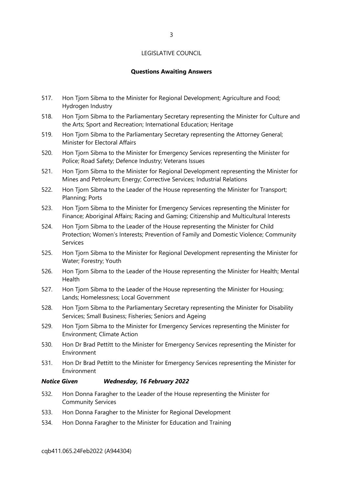#### **Questions Awaiting Answers**

- 517. Hon Tjorn Sibma to the Minister for Regional Development; Agriculture and Food; Hydrogen Industry
- 518. Hon Tjorn Sibma to the Parliamentary Secretary representing the Minister for Culture and the Arts; Sport and Recreation; International Education; Heritage
- 519. Hon Tjorn Sibma to the Parliamentary Secretary representing the Attorney General; Minister for Electoral Affairs
- 520. Hon Tjorn Sibma to the Minister for Emergency Services representing the Minister for Police; Road Safety; Defence Industry; Veterans Issues
- 521. Hon Tjorn Sibma to the Minister for Regional Development representing the Minister for Mines and Petroleum; Energy; Corrective Services; Industrial Relations
- 522. Hon Tjorn Sibma to the Leader of the House representing the Minister for Transport; Planning; Ports
- 523. Hon Tjorn Sibma to the Minister for Emergency Services representing the Minister for Finance; Aboriginal Affairs; Racing and Gaming; Citizenship and Multicultural Interests
- 524. Hon Tjorn Sibma to the Leader of the House representing the Minister for Child Protection; Women's Interests; Prevention of Family and Domestic Violence; Community Services
- 525. Hon Tjorn Sibma to the Minister for Regional Development representing the Minister for Water; Forestry; Youth
- 526. Hon Tjorn Sibma to the Leader of the House representing the Minister for Health; Mental Health
- 527. Hon Tjorn Sibma to the Leader of the House representing the Minister for Housing; Lands; Homelessness; Local Government
- 528. Hon Tjorn Sibma to the Parliamentary Secretary representing the Minister for Disability Services; Small Business; Fisheries; Seniors and Ageing
- 529. Hon Tjorn Sibma to the Minister for Emergency Services representing the Minister for Environment; Climate Action
- 530. Hon Dr Brad Pettitt to the Minister for Emergency Services representing the Minister for Environment
- 531. Hon Dr Brad Pettitt to the Minister for Emergency Services representing the Minister for Environment

#### *Notice Given Wednesday, 16 February 2022*

- 532. Hon Donna Faragher to the Leader of the House representing the Minister for Community Services
- 533. Hon Donna Faragher to the Minister for Regional Development
- 534. Hon Donna Faragher to the Minister for Education and Training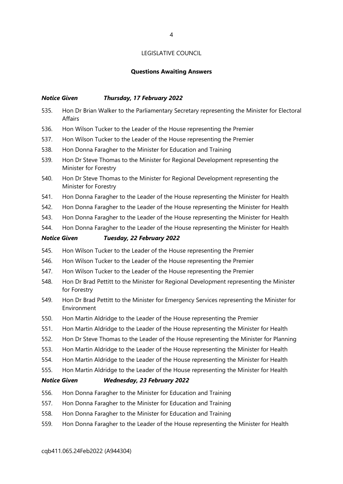#### **Questions Awaiting Answers**

#### *Notice Given Thursday, 17 February 2022*

- 535. Hon Dr Brian Walker to the Parliamentary Secretary representing the Minister for Electoral Affairs
- 536. Hon Wilson Tucker to the Leader of the House representing the Premier
- 537. Hon Wilson Tucker to the Leader of the House representing the Premier
- 538. Hon Donna Faragher to the Minister for Education and Training
- 539. Hon Dr Steve Thomas to the Minister for Regional Development representing the Minister for Forestry
- 540. Hon Dr Steve Thomas to the Minister for Regional Development representing the Minister for Forestry
- 541. Hon Donna Faragher to the Leader of the House representing the Minister for Health
- 542. Hon Donna Faragher to the Leader of the House representing the Minister for Health
- 543. Hon Donna Faragher to the Leader of the House representing the Minister for Health
- 544. Hon Donna Faragher to the Leader of the House representing the Minister for Health

#### *Notice Given Tuesday, 22 February 2022*

- 545. Hon Wilson Tucker to the Leader of the House representing the Premier
- 546. Hon Wilson Tucker to the Leader of the House representing the Premier
- 547. Hon Wilson Tucker to the Leader of the House representing the Premier
- 548. Hon Dr Brad Pettitt to the Minister for Regional Development representing the Minister for Forestry
- 549. Hon Dr Brad Pettitt to the Minister for Emergency Services representing the Minister for Environment
- 550. Hon Martin Aldridge to the Leader of the House representing the Premier
- 551. Hon Martin Aldridge to the Leader of the House representing the Minister for Health
- 552. Hon Dr Steve Thomas to the Leader of the House representing the Minister for Planning
- 553. Hon Martin Aldridge to the Leader of the House representing the Minister for Health
- 554. Hon Martin Aldridge to the Leader of the House representing the Minister for Health
- 555. Hon Martin Aldridge to the Leader of the House representing the Minister for Health

#### *Notice Given Wednesday, 23 February 2022*

- 556. Hon Donna Faragher to the Minister for Education and Training
- 557. Hon Donna Faragher to the Minister for Education and Training
- 558. Hon Donna Faragher to the Minister for Education and Training
- 559. Hon Donna Faragher to the Leader of the House representing the Minister for Health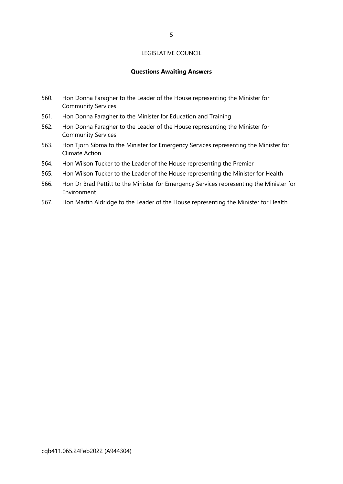#### **Questions Awaiting Answers**

- 560. Hon Donna Faragher to the Leader of the House representing the Minister for Community Services
- 561. Hon Donna Faragher to the Minister for Education and Training
- 562. Hon Donna Faragher to the Leader of the House representing the Minister for Community Services
- 563. Hon Tjorn Sibma to the Minister for Emergency Services representing the Minister for Climate Action
- 564. Hon Wilson Tucker to the Leader of the House representing the Premier
- 565. Hon Wilson Tucker to the Leader of the House representing the Minister for Health
- 566. Hon Dr Brad Pettitt to the Minister for Emergency Services representing the Minister for Environment
- 567. Hon Martin Aldridge to the Leader of the House representing the Minister for Health